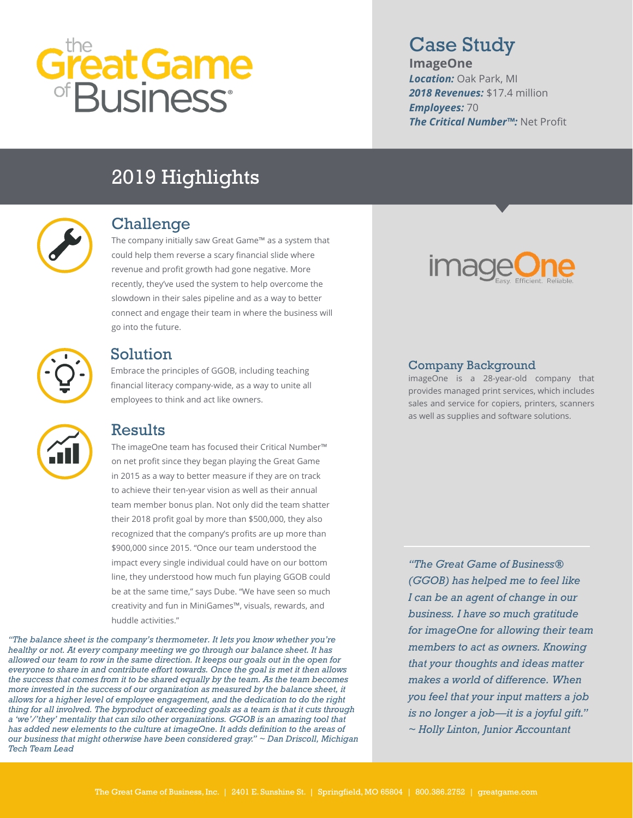# reat Game<br>Business<sup>.</sup>

# Case Study

**ImageOne**  *Location:* Oak Park, MI *2018 Revenues:* \$17.4 million *Employees:* 70 *The Critical Number™:* Net Profit

# 2019 Highlights



#### Challenge

The company initially saw Great Game™ as a system that could help them reverse a scary financial slide where revenue and profit growth had gone negative. More recently, they've used the system to help overcome the slowdown in their sales pipeline and as a way to better connect and engage their team in where the business will go into the future.



#### Solution

Embrace the principles of GGOB, including teaching financial literacy company-wide, as a way to unite all employees to think and act like owners.

### Results

The imageOne team has focused their Critical Number™ on net profit since they began playing the Great Game in 2015 as a way to better measure if they are on track to achieve their ten-year vision as well as their annual team member bonus plan. Not only did the team shatter their 2018 profit goal by more than \$500,000, they also recognized that the company's profits are up more than \$900,000 since 2015. "Once our team understood the impact every single individual could have on our bottom line, they understood how much fun playing GGOB could be at the same time," says Dube. "We have seen so much creativity and fun in MiniGames™, visuals, rewards, and huddle activities."

*"The balance sheet is the company's thermometer. It lets you know whether you're healthy or not. At every company meeting we go through our balance sheet. It has allowed our team to row in the same direction. It keeps our goals out in the open for everyone to share in and contribute effort towards. Once the goal is met it then allows the success that comes from it to be shared equally by the team. As the team becomes more invested in the success of our organization as measured by the balance sheet, it allows for a higher level of employee engagement, and the dedication to do the right thing for all involved. The byproduct of exceeding goals as a team is that it cuts through a 'we'/'they' mentality that can silo other organizations. GGOB is an amazing tool that has added new elements to the culture at imageOne. It adds definition to the areas of our business that might otherwise have been considered gray." ~ Dan Driscoll, Michigan Tech Team Lead*



#### Company Background

imageOne is a 28-year-old company that provides managed print services, which includes sales and service for copiers, printers, scanners as well as supplies and software solutions.

*"The Great Game of Business® (GGOB) has helped me to feel like I can be an agent of change in our business. I have so much gratitude for imageOne for allowing their team members to act as owners. Knowing that your thoughts and ideas matter makes a world of difference. When you feel that your input matters a job is no longer a job—it is a joyful gift." ~ Holly Linton, Junior Accountant*